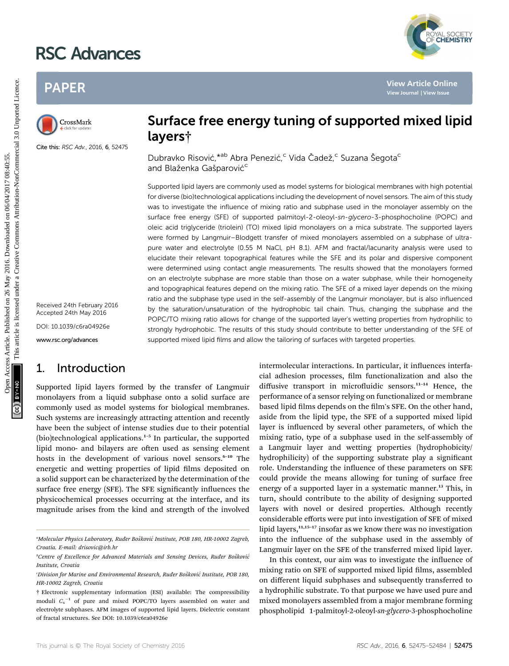# RSC Advances

## PAPER



Cite this: RSC Adv., 2016, 6, 52475

Received 24th February 2016 Accepted 24th May 2016

DOI: 10.1039/c6ra04926e

www.rsc.org/advances

## 1. Introduction

Supported lipid layers formed by the transfer of Langmuir monolayers from a liquid subphase onto a solid surface are commonly used as model systems for biological membranes. Such systems are increasingly attracting attention and recently have been the subject of intense studies due to their potential (bio)technological applications.<sup>1-5</sup> In particular, the supported lipid mono- and bilayers are often used as sensing element hosts in the development of various novel sensors.<sup>6-10</sup> The energetic and wetting properties of lipid films deposited on a solid support can be characterized by the determination of the surface free energy (SFE). The SFE significantly influences the physicochemical processes occurring at the interface, and its magnitude arises from the kind and strength of the involved



YAL SOCIETY<br>**CHEMISTRY** 

Dubravko Risović, <sup>\*ab</sup> Abra Penezić,<sup>c</sup> Vida Čadež,<sup>c</sup> Suzana Šegota<sup>c</sup> and Blaženka Gašparović<sup>c</sup>

Supported lipid layers are commonly used as model systems for biological membranes with high potential for diverse (bio)technological applications including the development of novel sensors. The aim of this study was to investigate the influence of mixing ratio and subphase used in the monolayer assembly on the surface free energy (SFE) of supported palmitoyl-2-oleoyl-sn-glycero-3-phosphocholine (POPC) and oleic acid triglyceride (triolein) (TO) mixed lipid monolayers on a mica substrate. The supported layers were formed by Langmuir–Blodgett transfer of mixed monolayers assembled on a subphase of ultrapure water and electrolyte (0.55 M NaCl, pH 8.1). AFM and fractal/lacunarity analysis were used to elucidate their relevant topographical features while the SFE and its polar and dispersive component were determined using contact angle measurements. The results showed that the monolayers formed on an electrolyte subphase are more stable than those on a water subphase, while their homogeneity and topographical features depend on the mixing ratio. The SFE of a mixed layer depends on the mixing ratio and the subphase type used in the self-assembly of the Langmuir monolayer, but is also influenced by the saturation/unsaturation of the hydrophobic tail chain. Thus, changing the subphase and the POPC/TO mixing ratio allows for change of the supported layer's wetting properties from hydrophilic to strongly hydrophobic. The results of this study should contribute to better understanding of the SFE of supported mixed lipid films and allow the tailoring of surfaces with targeted properties. **PAPER**<br>
Characteristics CAM-, 2016. 6.1921<br>
Characteristics CAM-, 2016. 6.1921<br>
Characteristics CAM-, 2016. 6.92173<br>
Characteristics CAM-, 2016. 6.92173<br>
Characteristics CAM-, 2016. 6.92173<br>
Characteristics CAM-, 2016. 6.

intermolecular interactions. In particular, it influences interfacial adhesion processes, film functionalization and also the diffusive transport in microfluidic sensors.<sup>11-14</sup> Hence, the performance of a sensor relying on functionalized or membrane based lipid films depends on the film's SFE. On the other hand, aside from the lipid type, the SFE of a supported mixed lipid layer is influenced by several other parameters, of which the mixing ratio, type of a subphase used in the self-assembly of a Langmuir layer and wetting properties (hydrophobicity/ hydrophilicity) of the supporting substrate play a significant role. Understanding the influence of these parameters on SFE could provide the means allowing for tuning of surface free energy of a supported layer in a systematic manner.<sup>13</sup> This, in turn, should contribute to the ability of designing supported layers with novel or desired properties. Although recently considerable efforts were put into investigation of SFE of mixed lipid layers, $11,15-17$  insofar as we know there was no investigation into the influence of the subphase used in the assembly of Langmuir layer on the SFE of the transferred mixed lipid layer.

In this context, our aim was to investigate the influence of mixing ratio on SFE of supported mixed lipid films, assembled on different liquid subphases and subsequently transferred to a hydrophilic substrate. To that purpose we have used pure and mixed monolayers assembled from a major membrane forming phospholipid 1-palmitoyl-2-oleoyl-sn-glycero-3-phosphocholine

<sup>&</sup>quot;Molecular Physics Laboratory, Ruđer Bošković Institute, POB 180, HR-10002 Zagreb, Croatia. E-mail: drisovic@irb.hr

<sup>&</sup>lt;sup>b</sup>Centre of Excellence for Advanced Materials and Sensing Devices, Ruđer Bošković Institute, Croatia

Division for Marine and Environmental Research, Ruđer Bošković Institute, POB 180, ' HR-10002 Zagreb, Croatia

<sup>†</sup> Electronic supplementary information (ESI) available: The compressibility moduli  $C_s^{-1}$  of pure and mixed POPC/TO layers assembled on water and electrolyte subphases. AFM images of supported lipid layers. Dielectric constant of fractal structures. See DOI: 10.1039/c6ra04926e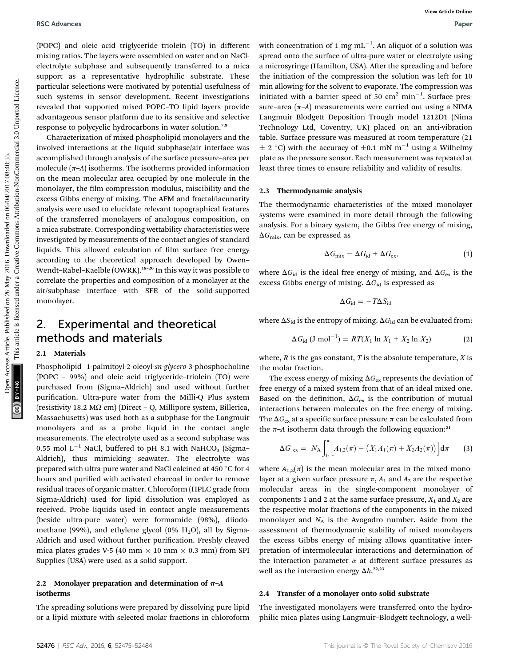(POPC) and oleic acid triglyceride–triolein (TO) in different mixing ratios. The layers were assembled on water and on NaClelectrolyte subphase and subsequently transferred to a mica support as a representative hydrophilic substrate. These particular selections were motivated by potential usefulness of such systems in sensor development. Recent investigations revealed that supported mixed POPC–TO lipid layers provide advantageous sensor platform due to its sensitive and selective response to polycyclic hydrocarbons in water solution.<sup>7,9</sup>

Characterization of mixed phospholipid monolayers and the involved interactions at the liquid subphase/air interface was accomplished through analysis of the surface pressure–area per molecule  $(\pi-A)$  isotherms. The isotherms provided information on the mean molecular area occupied by one molecule in the monolayer, the film compression modulus, miscibility and the excess Gibbs energy of mixing. The AFM and fractal/lacunarity analysis were used to elucidate relevant topographical features of the transferred monolayers of analogous composition, on a mica substrate. Corresponding wettability characteristics were investigated by measurements of the contact angles of standard liquids. This allowed calculation of film surface free energy according to the theoretical approach developed by Owen– Wendt-Rabel-Kaelble (OWRK).<sup>18-20</sup> In this way it was possible to correlate the properties and composition of a monolayer at the air/subphase interface with SFE of the solid-supported monolayer. **BSC** Advances Word Article control on the transmitted on West Article on 26 May 2016. The control of the system and the system are controllinear and the system of the control of the present article is licensed under the

## 2. Experimental and theoretical methods and materials

### 2.1 Materials

Phospholipid 1-palmitoyl-2-oleoyl-sn-glycero-3-phosphocholine (POPC – 99%) and oleic acid triglyceride–triolein (TO) were purchased from (Sigma–Aldrich) and used without further purification. Ultra-pure water from the Milli-Q Plus system (resistivity 18.2 M $\Omega$  cm) (Direct - Q, Millipore system, Billerica, Massachusetts) was used both as a subphase for the Langmuir monolayers and as a probe liquid in the contact angle measurements. The electrolyte used as a second subphase was 0.55 mol  $L^{-1}$  NaCl, buffered to pH 8.1 with NaHCO<sub>3</sub> (Sigma– Aldrich), thus mimicking seawater. The electrolyte was prepared with ultra-pure water and NaCl calcined at 450 °C for 4 hours and purified with activated charcoal in order to remove residual traces of organic matter. Chloroform (HPLC grade from Sigma-Aldrich) used for lipid dissolution was employed as received. Probe liquids used in contact angle measurements (beside ultra-pure water) were formamide (98%), diiodomethane (99%), and ethylene glycol (0%  $H<sub>2</sub>O$ ), all by Sigma-Aldrich and used without further purification. Freshly cleaved mica plates grades V-5 (40 mm  $\times$  10 mm  $\times$  0.3 mm) from SPI Supplies (USA) were used as a solid support.

## 2.2 Monolayer preparation and determination of  $\pi$ –A isotherms

The spreading solutions were prepared by dissolving pure lipid or a lipid mixture with selected molar fractions in chloroform

with concentration of 1 mg  $\mathrm{mL}^{-1}.$  An aliquot of a solution was spread onto the surface of ultra-pure water or electrolyte using a microsyringe (Hamilton, USA). After the spreading and before the initiation of the compression the solution was left for 10 min allowing for the solvent to evaporate. The compression was initiated with a barrier speed of 50  $\text{cm}^2$  min<sup>-1</sup>. Surface pressure–area  $(\pi-A)$  measurements were carried out using a NIMA Langmuir Blodgett Deposition Trough model 1212D1 (Nima Technology Ltd, Coventry, UK) placed on an anti-vibration table. Surface pressure was measured at room temperature (21  $\pm$  2 °C) with the accuracy of  $\pm$ 0.1 mN m<sup>-1</sup> using a Wilhelmy plate as the pressure sensor. Each measurement was repeated at least three times to ensure reliability and validity of results.

## 2.3 Thermodynamic analysis

The thermodynamic characteristics of the mixed monolayer systems were examined in more detail through the following analysis. For a binary system, the Gibbs free energy of mixing,  $\Delta G_{\text{mix}}$ , can be expressed as

$$
\Delta G_{\text{mix}} = \Delta G_{\text{id}} + \Delta G_{\text{ex}},\tag{1}
$$

where  $\Delta G_{\text{id}}$  is the ideal free energy of mixing, and  $\Delta G_{\text{ex}}$  is the excess Gibbs energy of mixing.  $\Delta G_{\text{id}}$  is expressed as

$$
\Delta G_{\rm id} = -T\Delta S_{\rm id}
$$

where  $\Delta S_{\text{id}}$  is the entropy of mixing.  $\Delta G_{\text{id}}$  can be evaluated from:

$$
\Delta G_{\rm id} \, (\text{J mol}^{-1}) = RT(X_1 \ln X_1 + X_2 \ln X_2) \tag{2}
$$

where,  $R$  is the gas constant,  $T$  is the absolute temperature,  $X$  is the molar fraction.

The excess energy of mixing  $\Delta G_{\text{ex}}$  represents the deviation of free energy of a mixed system from that of an ideal mixed one. Based on the definition,  $\Delta G_{\text{ex}}$  is the contribution of mutual interactions between molecules on the free energy of mixing. The  $\Delta G_{\text{ex}}$  at a specific surface pressure  $\pi$  can be calculated from the  $\pi$ –A isotherm data through the following equation:<sup>21</sup>

$$
\Delta G_{\text{ex}} = N_{\text{A}} \int_0^{\pi} \Big[ A_{1,2}(\pi) - \big( X_1 A_1(\pi) + X_2 A_2(\pi) \big) \Big] d\pi \qquad (3)
$$

where  $A_{1,2}(\pi)$  is the mean molecular area in the mixed monolayer at a given surface pressure  $\pi$ ,  $A_1$  and  $A_2$  are the respective molecular areas in the single-component monolayer of components 1 and 2 at the same surface pressure,  $X_1$  and  $X_2$  are the respective molar fractions of the components in the mixed monolayer and  $N_A$  is the Avogadro number. Aside from the assessment of thermodynamic stability of mixed monolayers the excess Gibbs energy of mixing allows quantitative interpretation of intermolecular interactions and determination of the interaction parameter  $\alpha$  at different surface pressures as well as the interaction energy  $\Delta h$ .<sup>22,23</sup>

#### 2.4 Transfer of a monolayer onto solid substrate

The investigated monolayers were transferred onto the hydrophilic mica plates using Langmuir–Blodgett technology, a well-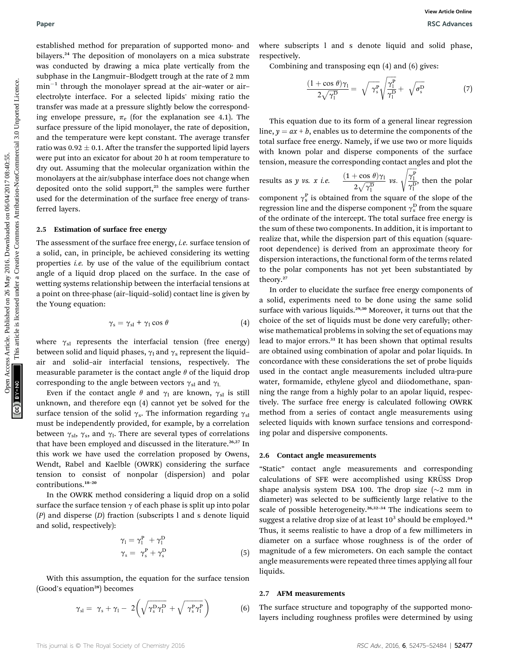established method for preparation of supported mono- and bilayers.<sup>24</sup> The deposition of monolayers on a mica substrate was conducted by drawing a mica plate vertically from the subphase in the Langmuir–Blodgett trough at the rate of 2 mm  $min^{-1}$  through the monolayer spread at the air-water or airelectrolyte interface. For a selected lipids' mixing ratio the transfer was made at a pressure slightly below the corresponding envelope pressure,  $\pi_e$  (for the explanation see 4.1). The surface pressure of the lipid monolayer, the rate of deposition, and the temperature were kept constant. The average transfer ratio was  $0.92 \pm 0.1$ . After the transfer the supported lipid layers were put into an exicator for about 20 h at room temperature to dry out. Assuming that the molecular organization within the monolayers at the air/subphase interface does not change when deposited onto the solid support, $25$  the samples were further used for the determination of the surface free energy of transferred layers. Paper<br> **SEC Articles** Consequent in a conserved on 2016 and 2016 and 2016 and 2016 and 2016 and 2016 and 2016 and 2016 and 2016 and 2016 and 2016 and 2016 and 2016 and 2016 and 2016 and 2016 and 2016 and 2016 and 2016 and

## 2.5 Estimation of surface free energy

The assessment of the surface free energy, *i.e.* surface tension of a solid, can, in principle, be achieved considering its wetting properties i.e. by use of the value of the equilibrium contact angle of a liquid drop placed on the surface. In the case of wetting systems relationship between the interfacial tensions at a point on three-phase (air–liquid–solid) contact line is given by the Young equation:

$$
\gamma_{\rm s} = \gamma_{\rm sl} + \gamma_1 \cos \theta \tag{4}
$$

where  $\gamma_{sl}$  represents the interfacial tension (free energy) between solid and liquid phases,  $\gamma_1$  and  $\gamma_s$  represent the liquid– air and solid–air interfacial tensions, respectively. The measurable parameter is the contact angle  $\theta$  of the liquid drop corresponding to the angle between vectors  $\gamma_{sl}$  and  $\gamma_{ls}$ 

Even if the contact angle  $\theta$  and  $\gamma_1$  are known,  $\gamma_{\rm sl}$  is still unknown, and therefore eqn (4) cannot yet be solved for the surface tension of the solid  $\gamma_s$ . The information regarding  $\gamma_{sl}$ must be independently provided, for example, by a correlation between  $\gamma_{\rm sl}$ ,  $\gamma_{\rm s}$ , and  $\gamma_{\rm l}$ . There are several types of correlations that have been employed and discussed in the literature.<sup>26,27</sup> In this work we have used the correlation proposed by Owens, Wendt, Rabel and Kaelble (OWRK) considering the surface tension to consist of nonpolar (dispersion) and polar contributions.<sup>18</sup>–<sup>20</sup>

In the OWRK method considering a liquid drop on a solid surface the surface tension  $\gamma$  of each phase is split up into polar  $(P)$  and disperse  $(D)$  fraction (subscripts l and s denote liquid and solid, respectively):

$$
\gamma_1 = \gamma_1^P + \gamma_1^D
$$
  
\n
$$
\gamma_s = \gamma_s^P + \gamma_s^D
$$
\n(5)

With this assumption, the equation for the surface tension (Good's equation<sup>28</sup>) becomes

$$
\gamma_{\rm sl} = \gamma_{\rm s} + \gamma_{\rm l} - 2\left(\sqrt{\gamma_{\rm s}^{\rm p} \gamma_{\rm l}^{\rm p}} + \sqrt{\gamma_{\rm s}^{\rm p} \gamma_{\rm l}^{\rm p}}\right) \tag{6}
$$

where subscripts l and s denote liquid and solid phase, respectively.

Combining and transposing eqn (4) and (6) gives:

$$
\frac{(1+\cos\theta)\gamma_1}{2\sqrt{\gamma_1^D}} = \sqrt{\gamma_s^P} \sqrt{\gamma_1^P} + \sqrt{\sigma_s^D}
$$
 (7)

This equation due to its form of a general linear regression line,  $y = ax + b$ , enables us to determine the components of the total surface free energy. Namely, if we use two or more liquids with known polar and disperse components of the surface tension, measure the corresponding contact angles and plot the

results as *y* vs. *x i.e.* 
$$
\frac{(1 + \cos \theta)\gamma_1}{2\sqrt{\gamma_1^D}} \text{ vs. } \sqrt{\frac{\gamma_1^P}{\gamma_1^D}}, \text{ then the polar}
$$

component  $\gamma_s^{\rm p}$  is obtained from the square of the slope of the recreasion line and the disperse component  $\gamma_{\rm p}^{\rm p}$  from the square regression line and the disperse component  $\gamma_{\rm s}^{\rm D}$  from the square<br>of the ordinate of the intercent. The total surface free one ray is of the ordinate of the intercept. The total surface free energy is the sum of these two components. In addition, it is important to realize that, while the dispersion part of this equation (squareroot dependence) is derived from an approximate theory for dispersion interactions, the functional form of the terms related to the polar components has not yet been substantiated by theory.<sup>27</sup>

In order to elucidate the surface free energy components of a solid, experiments need to be done using the same solid surface with various liquids.<sup>29,30</sup> Moreover, it turns out that the choice of the set of liquids must be done very carefully; otherwise mathematical problems in solving the set of equations may lead to major errors.<sup>31</sup> It has been shown that optimal results are obtained using combination of apolar and polar liquids. In concordance with these considerations the set of probe liquids used in the contact angle measurements included ultra-pure water, formamide, ethylene glycol and diiodomethane, spanning the range from a highly polar to an apolar liquid, respectively. The surface free energy is calculated following OWRK method from a series of contact angle measurements using selected liquids with known surface tensions and corresponding polar and dispersive components.

#### 2.6 Contact angle measurements

"Static" contact angle measurements and corresponding calculations of SFE were accomplished using KRÜSS Drop shape analysis system DSA 100. The drop size  $(\sim 2 \text{ mm in})$ diameter) was selected to be sufficiently large relative to the scale of possible heterogeneity.<sup>26,32-34</sup> The indications seem to suggest a relative drop size of at least  $10^3$  should be employed.<sup>34</sup> Thus, it seems realistic to have a drop of a few millimeters in diameter on a surface whose roughness is of the order of magnitude of a few micrometers. On each sample the contact angle measurements were repeated three times applying all four liquids.

#### 2.7 AFM measurements

The surface structure and topography of the supported monolayers including roughness profiles were determined by using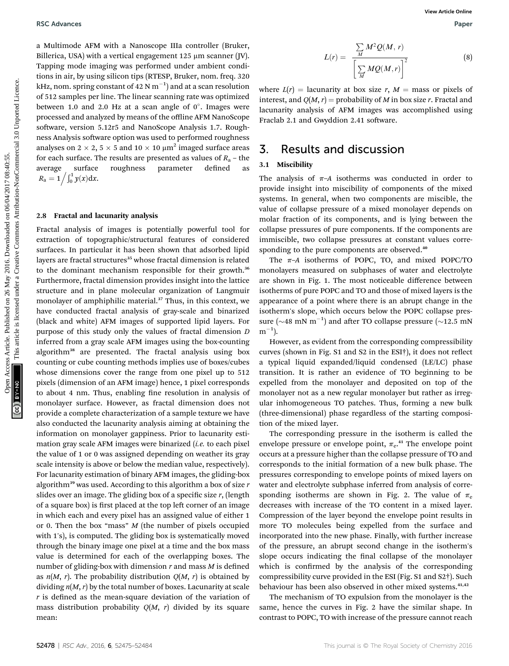a Multimode AFM with a Nanoscope IIIa controller (Bruker, Billerica, USA) with a vertical engagement  $125 \mu m$  scanner (JV). Tapping mode imaging was performed under ambient conditions in air, by using silicon tips (RTESP, Bruker, nom. freq. 320 kHz, nom. spring constant of 42 N  $\mathrm{m}^{-1})$  and at a scan resolution of 512 samples per line. The linear scanning rate was optimized between 1.0 and 2.0 Hz at a scan angle of  $0^\circ$ . Images were processed and analyzed by means of the offline AFM NanoScope software, version 5.12r5 and NanoScope Analysis 1.7. Roughness Analysis software option was used to performed roughness analyses on  $2 \times 2$ ,  $5 \times 5$  and  $10 \times 10 \mu m^2$  imaged surface areas for each surface. The results are presented as values of  $R_a$  – the average surface roughness parameter defined as  $R_{\rm a} = 1 \Big/ \int_0^1 y(x) {\rm d} x.$ 

## 2.8 Fractal and lacunarity analysis

Fractal analysis of images is potentially powerful tool for extraction of topographic/structural features of considered surfaces. In particular it has been shown that adsorbed lipid layers are fractal structures<sup>35</sup> whose fractal dimension is related to the dominant mechanism responsible for their growth.<sup>36</sup> Furthermore, fractal dimension provides insight into the lattice structure and in plane molecular organization of Langmuir monolayer of amphiphilic material.<sup>37</sup> Thus, in this context, we have conducted fractal analysis of gray-scale and binarized (black and white) AFM images of supported lipid layers. For purpose of this study only the values of fractal dimension D inferred from a gray scale AFM images using the box-counting algorithm<sup>38</sup> are presented. The fractal analysis using box counting or cube counting methods implies use of boxes/cubes whose dimensions cover the range from one pixel up to 512 pixels (dimension of an AFM image) hence, 1 pixel corresponds to about 4 nm. Thus, enabling fine resolution in analysis of monolayer surface. However, as fractal dimension does not provide a complete characterization of a sample texture we have also conducted the lacunarity analysis aiming at obtaining the information on monolayer gappiness. Prior to lacunarity estimation gray scale AFM images were binarized (i.e. to each pixel the value of 1 or 0 was assigned depending on weather its gray scale intensity is above or below the median value, respectively). For lacunarity estimation of binary AFM images, the gliding-box algorithm<sup>39</sup> was used. According to this algorithm a box of size  $r$ slides over an image. The gliding box of a specific size  $r$ , (length of a square box) is first placed at the top left corner of an image in which each and every pixel has an assigned value of either 1 or 0. Then the box "mass" M (the number of pixels occupied with 1's), is computed. The gliding box is systematically moved through the binary image one pixel at a time and the box mass value is determined for each of the overlapping boxes. The number of gliding-box with dimension  $r$  and mass  $M$  is defined as  $n(M, r)$ . The probability distribution  $Q(M, r)$  is obtained by dividing  $n(M, r)$  by the total number of boxes. Lacunarity at scale  $r$  is defined as the mean-square deviation of the variation of mass distribution probability  $Q(M, r)$  divided by its square mean: **BSC Advances**<br> **Open Access Article of the critical consequent L25 may see that controller (y).**<br> **Explore and the creation consequent L25 may access (y).**<br> **Explore the creation consequent L25** may be interest and the c

$$
L(r) = \frac{\sum_{M} M^2 Q(M, r)}{\left[\sum_{M} M Q(M, r)\right]^2}
$$
(8)

where  $L(r) =$  lacunarity at box size r,  $M =$  mass or pixels of interest, and  $Q(M, r)$  = probability of M in box size r. Fractal and lacunarity analysis of AFM images was accomplished using Fraclab 2.1 and Gwyddion 2.41 software.

## 3. Results and discussion

## 3.1 Miscibility

The analysis of  $\pi$ –A isotherms was conducted in order to provide insight into miscibility of components of the mixed systems. In general, when two components are miscible, the value of collapse pressure of a mixed monolayer depends on molar fraction of its components, and is lying between the collapse pressures of pure components. If the components are immiscible, two collapse pressures at constant values corresponding to the pure components are observed.<sup>40</sup>

The  $\pi$ –A isotherms of POPC, TO, and mixed POPC/TO monolayers measured on subphases of water and electrolyte are shown in Fig. 1. The most noticeable difference between isotherms of pure POPC and TO and those of mixed layers is the appearance of a point where there is an abrupt change in the isotherm's slope, which occurs below the POPC collapse pressure ( $\sim$ 48 mN m<sup>-1</sup>) and after TO collapse pressure ( $\sim$ 12.5 mN  $m^{-1}$ ).

However, as evident from the corresponding compressibility curves (shown in Fig. S1 and S2 in the ESI<sup>†</sup>), it does not reflect a typical liquid expanded/liquid condensed (LE/LC) phase transition. It is rather an evidence of TO beginning to be expelled from the monolayer and deposited on top of the monolayer not as a new regular monolayer but rather as irregular inhomogeneous TO patches. Thus, forming a new bulk (three-dimensional) phase regardless of the starting composition of the mixed layer.

The corresponding pressure in the isotherm is called the envelope pressure or envelope point,  $\pi_{e}$ .<sup>41</sup> The envelope point equivalent points of TO and occurs at a pressure higher than the collapse pressure of TO and corresponds to the initial formation of a new bulk phase. The pressures corresponding to envelope points of mixed layers on water and electrolyte subphase inferred from analysis of corresponding isotherms are shown in Fig. 2. The value of  $\pi_e$ decreases with increase of the TO content in a mixed layer. Compression of the layer beyond the envelope point results in more TO molecules being expelled from the surface and incorporated into the new phase. Finally, with further increase of the pressure, an abrupt second change in the isotherm's slope occurs indicating the final collapse of the monolayer which is confirmed by the analysis of the corresponding compressibility curve provided in the ESI (Fig. S1 and S2†). Such behaviour has been also observed in other mixed systems.<sup>41,42</sup>

The mechanism of TO expulsion from the monolayer is the same, hence the curves in Fig. 2 have the similar shape. In contrast to POPC, TO with increase of the pressure cannot reach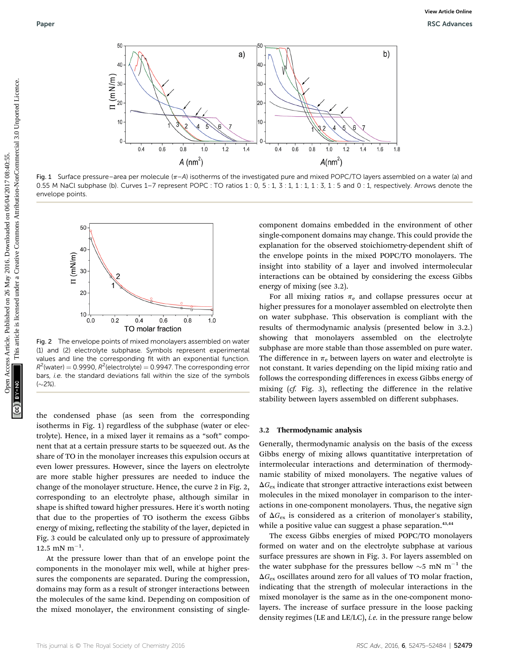

Fig. 1 Surface pressure–area per molecule  $(\pi - A)$  isotherms of the investigated pure and mixed POPC/TO layers assembled on a water (a) and 0.55 M NaCl subphase (b). Curves 1-7 represent POPC : TO ratios 1 : 0, 5 : 1, 3 : 1, 1 : 1, 1 : 3, 1 : 5 and 0 : 1, respectively. Arrows denote the envelope points.



Fig. 2 The envelope points of mixed monolayers assembled on water (1) and (2) electrolyte subphase. Symbols represent experimental values and line the corresponding fit with an exponential function.  $R^2$ (water) = 0.9990,  $R^2$ (electrolyte) = 0.9947. The corresponding error bars, i.e. the standard deviations fall within the size of the symbols  $(\sim 2\%)$ 

the condensed phase (as seen from the corresponding isotherms in Fig. 1) regardless of the subphase (water or electrolyte). Hence, in a mixed layer it remains as a "soft" component that at a certain pressure starts to be squeezed out. As the share of TO in the monolayer increases this expulsion occurs at even lower pressures. However, since the layers on electrolyte are more stable higher pressures are needed to induce the change of the monolayer structure. Hence, the curve 2 in Fig. 2, corresponding to an electrolyte phase, although similar in shape is shifted toward higher pressures. Here it's worth noting that due to the properties of TO isotherm the excess Gibbs energy of mixing, reflecting the stability of the layer, depicted in Fig. 3 could be calculated only up to pressure of approximately  $12.5 \text{ mN m}^{-1}$ .

At the pressure lower than that of an envelope point the components in the monolayer mix well, while at higher pressures the components are separated. During the compression, domains may form as a result of stronger interactions between the molecules of the same kind. Depending on composition of the mixed monolayer, the environment consisting of single-

component domains embedded in the environment of other single-component domains may change. This could provide the explanation for the observed stoichiometry-dependent shift of the envelope points in the mixed POPC/TO monolayers. The insight into stability of a layer and involved intermolecular interactions can be obtained by considering the excess Gibbs energy of mixing (see 3.2).

For all mixing ratios  $\pi_e$  and collapse pressures occur at higher pressures for a monolayer assembled on electrolyte then on water subphase. This observation is compliant with the results of thermodynamic analysis (presented below in 3.2.) showing that monolayers assembled on the electrolyte subphase are more stable than those assembled on pure water. The difference in  $\pi_e$  between layers on water and electrolyte is not constant. It varies depending on the lipid mixing ratio and follows the corresponding differences in excess Gibbs energy of mixing  $(cf. Fig. 3)$ , reflecting the difference in the relative stability between layers assembled on different subphases.

#### 3.2 Thermodynamic analysis

Generally, thermodynamic analysis on the basis of the excess Gibbs energy of mixing allows quantitative interpretation of intermolecular interactions and determination of thermodynamic stability of mixed monolayers. The negative values of  $\Delta G_{\text{ex}}$  indicate that stronger attractive interactions exist between molecules in the mixed monolayer in comparison to the interactions in one-component monolayers. Thus, the negative sign of  $\Delta G_{\text{ex}}$  is considered as a criterion of monolayer's stability, while a positive value can suggest a phase separation.<sup>43,44</sup>

The excess Gibbs energies of mixed POPC/TO monolayers formed on water and on the electrolyte subphase at various surface pressures are shown in Fig. 3. For layers assembled on the water subphase for the pressures bellow  $\sim$ 5 mN m<sup>-1</sup> the  $\Delta G_{\rm ex}$  oscillates around zero for all values of TO molar fraction, indicating that the strength of molecular interactions in the mixed monolayer is the same as in the one-component monolayers. The increase of surface pressure in the loose packing density regimes (LE and LE/LC), *i.e.* in the pressure range below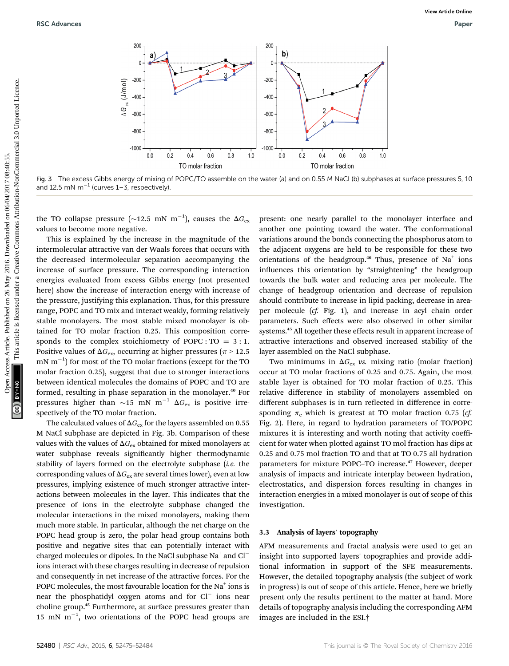

Fig. 3 The excess Gibbs energy of mixing of POPC/TO assemble on the water (a) and on 0.55 M NaCl (b) subphases at surface pressures 5, 10 and 12.5 mN  $m^{-1}$  (curves 1–3, respectively).

the TO collapse pressure ( $\sim$ 12.5 mN m<sup>-1</sup>), causes the  $\Delta G_{\rm ex}$ values to become more negative.

This is explained by the increase in the magnitude of the intermolecular attractive van der Waals forces that occurs with the decreased intermolecular separation accompanying the increase of surface pressure. The corresponding interaction energies evaluated from excess Gibbs energy (not presented here) show the increase of interaction energy with increase of the pressure, justifying this explanation. Thus, for this pressure range, POPC and TO mix and interact weakly, forming relatively stable monolayers. The most stable mixed monolayer is obtained for TO molar fraction 0.25. This composition corresponds to the complex stoichiometry of POPC :  $TO = 3:1$ . Positive values of  $\Delta G_{\mathrm{ex}}$ , occurring at higher pressures ( $\pi$  > 12.5  $\rm{mN~m^{-1}}$ ) for most of the TO molar fractions (except for the TO molar fraction 0.25), suggest that due to stronger interactions between identical molecules the domains of POPC and TO are formed, resulting in phase separation in the monolayer.<sup>40</sup> For pressures higher than  $\sim$ 15 mN m<sup>-1</sup>  $\Delta G_{\text{ex}}$  is positive irrespectively of the TO molar fraction.

The calculated values of  $\Delta G_{\rm ex}$  for the layers assembled on 0.55 M NaCl subphase are depicted in Fig. 3b. Comparison of these values with the values of  $\Delta G_{\text{ex}}$  obtained for mixed monolayers at water subphase reveals significantly higher thermodynamic stability of layers formed on the electrolyte subphase (*i.e.* the corresponding values of  $\Delta G_{\text{ex}}$  are several times lower), even at low pressures, implying existence of much stronger attractive interactions between molecules in the layer. This indicates that the presence of ions in the electrolyte subphase changed the molecular interactions in the mixed monolayers, making them much more stable. In particular, although the net charge on the POPC head group is zero, the polar head group contains both positive and negative sites that can potentially interact with charged molecules or dipoles. In the NaCl subphase  $Na<sup>+</sup>$  and  $Cl$ ions interact with these charges resulting in decrease of repulsion and consequently in net increase of the attractive forces. For the POPC molecules, the most favourable location for the Na<sup>+</sup> ions is near the phosphatidyl oxygen atoms and for  $Cl^-$  ions near choline group.<sup>45</sup> Furthermore, at surface pressures greater than 15 mN  $m^{-1}$ , two orientations of the POPC head groups are

present: one nearly parallel to the monolayer interface and another one pointing toward the water. The conformational variations around the bonds connecting the phosphorus atom to the adjacent oxygens are held to be responsible for these two orientations of the headgroup.<sup>46</sup> Thus, presence of  $Na<sup>+</sup>$  ions influences this orientation by "straightening" the headgroup towards the bulk water and reducing area per molecule. The change of headgroup orientation and decrease of repulsion should contribute to increase in lipid packing, decrease in areaper molecule (cf. Fig. 1), and increase in acyl chain order parameters. Such effects were also observed in other similar systems.<sup>45</sup> All together these effects result in apparent increase of attractive interactions and observed increased stability of the layer assembled on the NaCl subphase.

Two minimums in  $\Delta G_{\text{ex}}$  vs. mixing ratio (molar fraction) occur at TO molar fractions of 0.25 and 0.75. Again, the most stable layer is obtained for TO molar fraction of 0.25. This relative difference in stability of monolayers assembled on different subphases is in turn reflected in difference in corresponding  $\pi_e$  which is greatest at TO molar fraction 0.75 (*cf.* Fig. 2). Here, in regard to hydration parameters of TO/POPC mixtures it is interesting and worth noting that activity coefficient for water when plotted against TO mol fraction has dips at 0.25 and 0.75 mol fraction TO and that at TO 0.75 all hydration parameters for mixture POPC–TO increase.<sup>47</sup> However, deeper analysis of impacts and intricate interplay between hydration, electrostatics, and dispersion forces resulting in changes in interaction energies in a mixed monolayer is out of scope of this investigation.

### 3.3 Analysis of layers' topography

AFM measurements and fractal analysis were used to get an insight into supported layers' topographies and provide additional information in support of the SFE measurements. However, the detailed topography analysis (the subject of work in progress) is out of scope of this article. Hence, here we briefly present only the results pertinent to the matter at hand. More details of topography analysis including the corresponding AFM images are included in the ESI.†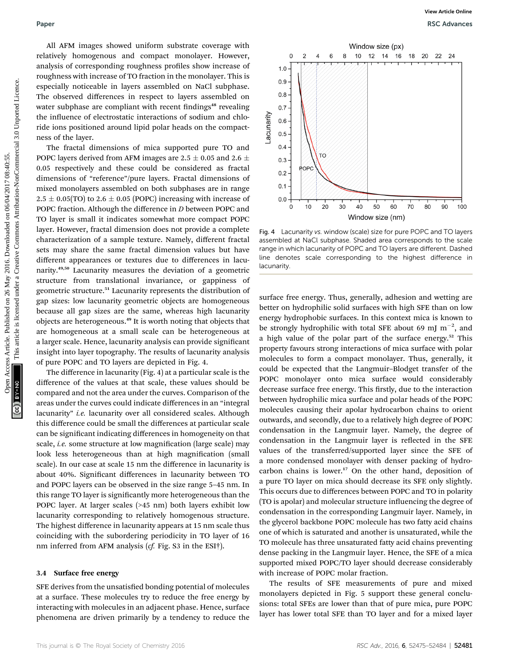All AFM images showed uniform substrate coverage with relatively homogenous and compact monolayer. However, analysis of corresponding roughness profiles show increase of roughness with increase of TO fraction in the monolayer. This is especially noticeable in layers assembled on NaCl subphase. The observed differences in respect to layers assembled on water subphase are compliant with recent findings<sup>48</sup> revealing the influence of electrostatic interactions of sodium and chloride ions positioned around lipid polar heads on the compactness of the layer.

The fractal dimensions of mica supported pure TO and POPC layers derived from AFM images are 2.5  $\pm$  0.05 and 2.6  $\pm$ 0.05 respectively and these could be considered as fractal dimensions of "reference"/pure layers. Fractal dimensions of mixed monolayers assembled on both subphases are in range  $2.5 \pm 0.05$ (TO) to  $2.6 \pm 0.05$  (POPC) increasing with increase of POPC fraction. Although the difference in D between POPC and TO layer is small it indicates somewhat more compact POPC layer. However, fractal dimension does not provide a complete characterization of a sample texture. Namely, different fractal sets may share the same fractal dimension values but have different appearances or textures due to differences in lacunarity.49,50 Lacunarity measures the deviation of a geometric structure from translational invariance, or gappiness of geometric structure.<sup>51</sup> Lacunarity represents the distribution of gap sizes: low lacunarity geometric objects are homogeneous because all gap sizes are the same, whereas high lacunarity objects are heterogeneous.<sup>49</sup> It is worth noting that objects that are homogeneous at a small scale can be heterogeneous at a larger scale. Hence, lacunarity analysis can provide signicant insight into layer topography. The results of lacunarity analysis of pure POPC and TO layers are depicted in Fig. 4. Paper<br>
All APM images alused uniform substrate coverage with<br>
recipred by above are completed on Creative Commons and commons are completed on 26 May 2016. The commons are completed uniformly are recorded uniformly are re

The difference in lacunarity (Fig. 4) at a particular scale is the difference of the values at that scale, these values should be compared and not the area under the curves. Comparison of the areas under the curves could indicate differences in an "integral lacunarity" *i.e.* lacunarity over all considered scales. Although this difference could be small the differences at particular scale can be significant indicating differences in homogeneity on that scale, *i.e.* some structure at low magnification (large scale) may look less heterogeneous than at high magnification (small scale). In our case at scale 15 nm the difference in lacunarity is about 40%. Significant differences in lacunarity between TO and POPC layers can be observed in the size range 5–45 nm. In this range TO layer is significantly more heterogeneous than the POPC layer. At larger scales (>45 nm) both layers exhibit low lacunarity corresponding to relatively homogenous structure. The highest difference in lacunarity appears at 15 nm scale thus coinciding with the subordering periodicity in TO layer of 16 nm inferred from AFM analysis (cf. Fig. S3 in the ESI†).

### 3.4 Surface free energy

SFE derives from the unsatisfied bonding potential of molecules at a surface. These molecules try to reduce the free energy by interacting with molecules in an adjacent phase. Hence, surface phenomena are driven primarily by a tendency to reduce the



Fig. 4 Lacunarity vs. window (scale) size for pure POPC and TO layers assembled at NaCl subphase. Shaded area corresponds to the scale range in which lacunarity of POPC and TO layers are different. Dashed line denotes scale corresponding to the highest difference in **lacunarity** 

surface free energy. Thus, generally, adhesion and wetting are better on hydrophilic solid surfaces with high SFE than on low energy hydrophobic surfaces. In this context mica is known to be strongly hydrophilic with total SFE about 69 mJ  $m^{-2}$ , and a high value of the polar part of the surface energy.<sup>52</sup> This property favours strong interactions of mica surface with polar molecules to form a compact monolayer. Thus, generally, it could be expected that the Langmuir–Blodget transfer of the POPC monolayer onto mica surface would considerably decrease surface free energy. This firstly, due to the interaction between hydrophilic mica surface and polar heads of the POPC molecules causing their apolar hydrocarbon chains to orient outwards, and secondly, due to a relatively high degree of POPC condensation in the Langmuir layer. Namely, the degree of condensation in the Langmuir layer is reflected in the SFE values of the transferred/supported layer since the SFE of a more condensed monolayer with denser packing of hydrocarbon chains is lower.<sup>17</sup> On the other hand, deposition of a pure TO layer on mica should decrease its SFE only slightly. This occurs due to differences between POPC and TO in polarity (TO is apolar) and molecular structure influencing the degree of condensation in the corresponding Langmuir layer. Namely, in the glycerol backbone POPC molecule has two fatty acid chains one of which is saturated and another is unsaturated, while the TO molecule has three unsaturated fatty acid chains preventing dense packing in the Langmuir layer. Hence, the SFE of a mica supported mixed POPC/TO layer should decrease considerably with increase of POPC molar fraction.

The results of SFE measurements of pure and mixed monolayers depicted in Fig. 5 support these general conclusions: total SFEs are lower than that of pure mica, pure POPC layer has lower total SFE than TO layer and for a mixed layer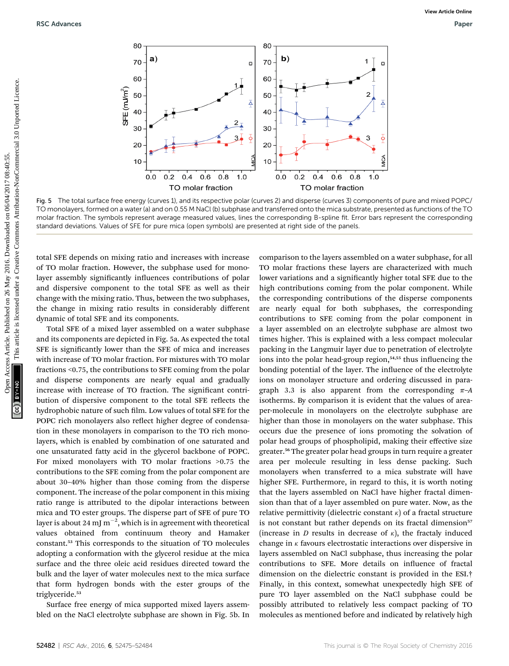

Fig. 5 The total surface free energy (curves 1), and its respective polar (curves 2) and disperse (curves 3) components of pure and mixed POPC/ TO monolayers, formed on a water (a) and on 0.55 M NaCl (b) subphase and transferred onto the mica substrate, presented as functions of the TO molar fraction. The symbols represent average measured values, lines the corresponding B-spline fit. Error bars represent the corresponding standard deviations. Values of SFE for pure mica (open symbols) are presented at right side of the panels.

total SFE depends on mixing ratio and increases with increase of TO molar fraction. However, the subphase used for monolayer assembly significantly influences contributions of polar and dispersive component to the total SFE as well as their change with the mixing ratio. Thus, between the two subphases, the change in mixing ratio results in considerably different dynamic of total SFE and its components.

Total SFE of a mixed layer assembled on a water subphase and its components are depicted in Fig. 5a. As expected the total SFE is significantly lower than the SFE of mica and increases with increase of TO molar fraction. For mixtures with TO molar fractions <0.75, the contributions to SFE coming from the polar and disperse components are nearly equal and gradually increase with increase of TO fraction. The significant contribution of dispersive component to the total SFE reflects the hydrophobic nature of such film. Low values of total SFE for the POPC rich monolayers also reflect higher degree of condensation in these monolayers in comparison to the TO rich monolayers, which is enabled by combination of one saturated and one unsaturated fatty acid in the glycerol backbone of POPC. For mixed monolayers with TO molar fractions >0.75 the contributions to the SFE coming from the polar component are about 30–40% higher than those coming from the disperse component. The increase of the polar component in this mixing ratio range is attributed to the dipolar interactions between mica and TO ester groups. The disperse part of SFE of pure TO layer is about 24 mJ m $^{-2}$ , which is in agreement with theoretical values obtained from continuum theory and Hamaker constant.<sup>53</sup> This corresponds to the situation of TO molecules adopting a conformation with the glycerol residue at the mica surface and the three oleic acid residues directed toward the bulk and the layer of water molecules next to the mica surface that form hydrogen bonds with the ester groups of the triglyceride.<sup>53</sup>

Surface free energy of mica supported mixed layers assembled on the NaCl electrolyte subphase are shown in Fig. 5b. In comparison to the layers assembled on a water subphase, for all TO molar fractions these layers are characterized with much lower variations and a significantly higher total SFE due to the high contributions coming from the polar component. While the corresponding contributions of the disperse components are nearly equal for both subphases, the corresponding contributions to SFE coming from the polar component in a layer assembled on an electrolyte subphase are almost two times higher. This is explained with a less compact molecular packing in the Langmuir layer due to penetration of electrolyte ions into the polar head-group region, $54,55$  thus influencing the bonding potential of the layer. The influence of the electrolyte ions on monolayer structure and ordering discussed in paragraph 3.3 is also apparent from the corresponding  $\pi$ -A isotherms. By comparison it is evident that the values of areaper-molecule in monolayers on the electrolyte subphase are higher than those in monolayers on the water subphase. This occurs due the presence of ions promoting the solvation of polar head groups of phospholipid, making their effective size greater.<sup>56</sup> The greater polar head groups in turn require a greater area per molecule resulting in less dense packing. Such monolayers when transferred to a mica substrate will have higher SFE. Furthermore, in regard to this, it is worth noting that the layers assembled on NaCl have higher fractal dimension than that of a layer assembled on pure water. Now, as the relative permittivity (dielectric constant  $\kappa$ ) of a fractal structure is not constant but rather depends on its fractal dimension<sup>57</sup> (increase in *D* results in decrease of  $\kappa$ ), the fractaly induced change in  $\kappa$  favours electrostatic interactions over dispersive in layers assembled on NaCl subphase, thus increasing the polar contributions to SFE. More details on influence of fractal dimension on the dielectric constant is provided in the ESI.† Finally, in this context, somewhat unexpectedly high SFE of pure TO layer assembled on the NaCl subphase could be possibly attributed to relatively less compact packing of TO molecules as mentioned before and indicated by relatively high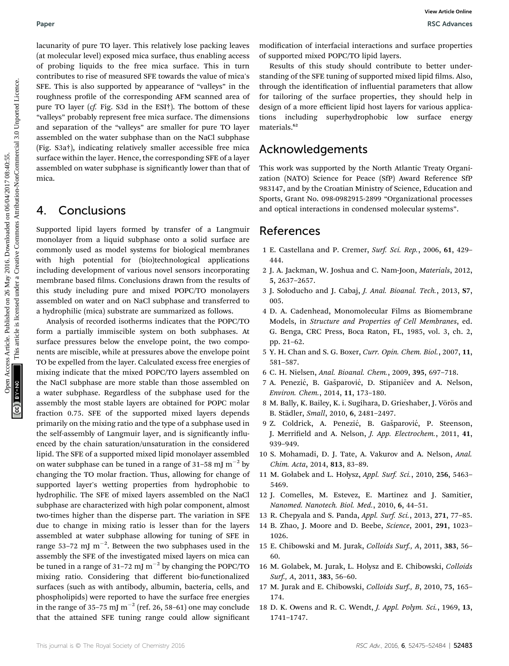lacunarity of pure TO layer. This relatively lose packing leaves (at molecular level) exposed mica surface, thus enabling access of probing liquids to the free mica surface. This in turn contributes to rise of measured SFE towards the value of mica's SFE. This is also supported by appearance of "valleys" in the roughness profile of the corresponding AFM scanned area of pure TO layer (cf. Fig. S3d in the ESI†). The bottom of these "valleys" probably represent free mica surface. The dimensions and separation of the "valleys" are smaller for pure TO layer assembled on the water subphase than on the NaCl subphase (Fig. S3a†), indicating relatively smaller accessible free mica surface within the layer. Hence, the corresponding SFE of a layer assembled on water subphase is signicantly lower than that of mica. Paper<br>
Users are mixingly the particle in the mediatric contract article of modeling terms are mixingly arcess are article. On 2016 and the set of the state of the state of the state of the state of the state of the state

## 4. Conclusions

Supported lipid layers formed by transfer of a Langmuir monolayer from a liquid subphase onto a solid surface are commonly used as model systems for biological membranes with high potential for (bio)technological applications including development of various novel sensors incorporating membrane based films. Conclusions drawn from the results of this study including pure and mixed POPC/TO monolayers assembled on water and on NaCl subphase and transferred to a hydrophilic (mica) substrate are summarized as follows.

Analysis of recorded isotherms indicates that the POPC/TO form a partially immiscible system on both subphases. At surface pressures below the envelope point, the two components are miscible, while at pressures above the envelope point TO be expelled from the layer. Calculated excess free energies of mixing indicate that the mixed POPC/TO layers assembled on the NaCl subphase are more stable than those assembled on a water subphase. Regardless of the subphase used for the assembly the most stable layers are obtained for POPC molar fraction 0.75. SFE of the supported mixed layers depends primarily on the mixing ratio and the type of a subphase used in the self-assembly of Langmuir layer, and is significantly influenced by the chain saturation/unsaturation in the considered lipid. The SFE of a supported mixed lipid monolayer assembled on water subphase can be tuned in a range of 31–58 mJ  $\mathrm{m}^{-2}$  by changing the TO molar fraction. Thus, allowing for change of supported layer's wetting properties from hydrophobic to hydrophilic. The SFE of mixed layers assembled on the NaCl subphase are characterized with high polar component, almost two-times higher than the disperse part. The variation in SFE due to change in mixing ratio is lesser than for the layers assembled at water subphase allowing for tuning of SFE in range 53-72 mJ  $m^{-2}$ . Between the two subphases used in the assembly the SFE of the investigated mixed layers on mica can be tuned in a range of 31–72 mJ  $m^{-2}$  by changing the POPC/TO mixing ratio. Considering that different bio-functionalized surfaces (such as with antibody, albumin, bacteria, cells, and phospholipids) were reported to have the surface free energies in the range of 35–75 mJ  $m^{-2}$  (ref. 26, 58–61) one may conclude that the attained SFE tuning range could allow signicant

modification of interfacial interactions and surface properties of supported mixed POPC/TO lipid layers.

Results of this study should contribute to better understanding of the SFE tuning of supported mixed lipid films. Also, through the identification of influential parameters that allow for tailoring of the surface properties, they should help in design of a more efficient lipid host layers for various applications including superhydrophobic low surface energy materials.<sup>62</sup>

## Acknowledgements

This work was supported by the North Atlantic Treaty Organization (NATO) Science for Peace (SfP) Award Reference SfP 983147, and by the Croatian Ministry of Science, Education and Sports, Grant No. 098-0982915-2899 "Organizational processes and optical interactions in condensed molecular systems".

## References

- 1 E. Castellana and P. Cremer, Surf. Sci. Rep., 2006, 61, 429– 444.
- 2 J. A. Jackman, W. Joshua and C. Nam-Joon, Materials, 2012, 5, 2637–2657.
- 3 J. Sołoducho and J. Cabaj, J. Anal. Bioanal. Tech., 2013, S7, 005.
- 4 D. A. Cadenhead, Monomolecular Films as Biomembrane Models, in Structure and Properties of Cell Membranes, ed. G. Benga, CRC Press, Boca Raton, FL, 1985, vol. 3, ch. 2, pp. 21–62.
- 5 Y. H. Chan and S. G. Boxer, Curr. Opin. Chem. Biol., 2007, 11, 581–587.
- 6 C. H. Nielsen, Anal. Bioanal. Chem., 2009, 395, 697–718.
- 7 A. Penezić, B. Gašparović, D. Stipaničev and A. Nelson, Environ. Chem., 2014, 11, 173–180.
- 8 M. Bally, K. Bailey, K. i. Sugihara, D. Grieshaber, J. Vörös and B. Städler, Small, 2010, 6, 2481-2497.
- 9 Z. Coldrick, A. Penezić, B. Gašparović, P. Steenson, J. Merrifield and A. Nelson, J. App. Electrochem., 2011, 41, 939–949.
- 10 S. Mohamadi, D. J. Tate, A. Vakurov and A. Nelson, Anal. Chim. Acta, 2014, 813, 83–89.
- 11 M. Gołabek and L. Hołysz, Appl. Surf. Sci., 2010, 256, 5463– 5469.
- 12 J. Comelles, M. Estevez, E. Martinez and J. Samitier, Nanomed. Nanotech. Biol. Med., 2010, 6, 44–51.
- 13 R. Chepyala and S. Panda, Appl. Surf. Sci., 2013, 271, 77–85.
- 14 B. Zhao, J. Moore and D. Beebe, Science, 2001, 291, 1023– 1026.
- 15 E. Chibowski and M. Jurak, Colloids Surf., A, 2011, 383, 56– 60.
- 16 M. Golabek, M. Jurak, L. Holysz and E. Chibowski, Colloids Surf., A, 2011, 383, 56–60.
- 17 M. Jurak and E. Chibowski, Colloids Surf., B, 2010, 75, 165– 174.
- 18 D. K. Owens and R. C. Wendt, J. Appl. Polym. Sci., 1969, 13, 1741–1747.